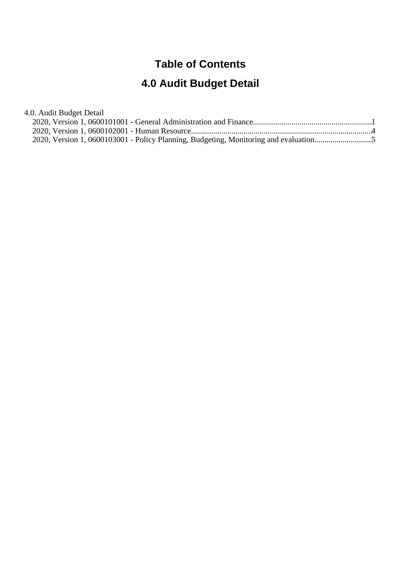#### **Table of Contents**

# **4.0 Audit Budget Detail**

4.0. Audit Budget Detail

| 2020, Version 1, 0600103001 - Policy Planning, Budgeting, Monitoring and evaluation |  |
|-------------------------------------------------------------------------------------|--|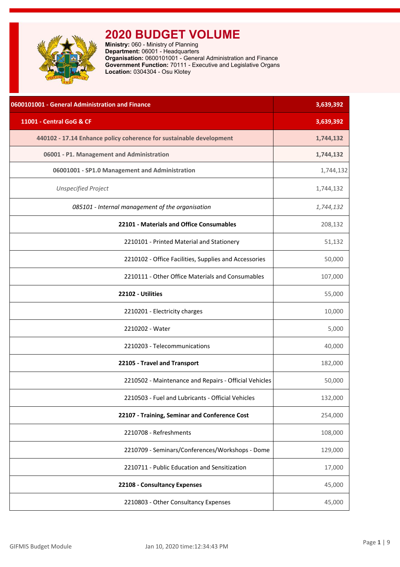<span id="page-1-0"></span>

**Ministry:** 060 - Ministry of Planning **Department:** 06001 - Headquarters **Organisation:** 0600101001 - General Administration and Finance **Government Function:** 70111 - Executive and Legislative Organs **Location:** 0304304 - Osu Klotey

| 0600101001 - General Administration and Finance                     | 3,639,392 |
|---------------------------------------------------------------------|-----------|
| 11001 - Central GoG & CF                                            | 3,639,392 |
| 440102 - 17.14 Enhance policy coherence for sustainable development | 1,744,132 |
| 06001 - P1. Management and Administration                           | 1,744,132 |
| 06001001 - SP1.0 Management and Administration                      | 1,744,132 |
| <b>Unspecified Project</b>                                          | 1,744,132 |
| 085101 - Internal management of the organisation                    | 1,744,132 |
| 22101 - Materials and Office Consumables                            | 208,132   |
| 2210101 - Printed Material and Stationery                           | 51,132    |
| 2210102 - Office Facilities, Supplies and Accessories               | 50,000    |
| 2210111 - Other Office Materials and Consumables                    | 107,000   |
| 22102 - Utilities                                                   | 55,000    |
| 2210201 - Electricity charges                                       | 10,000    |
| 2210202 - Water                                                     | 5,000     |
| 2210203 - Telecommunications                                        | 40,000    |
| 22105 - Travel and Transport                                        | 182,000   |
| 2210502 - Maintenance and Repairs - Official Vehicles               | 50,000    |
| 2210503 - Fuel and Lubricants - Official Vehicles                   | 132,000   |
| 22107 - Training, Seminar and Conference Cost                       | 254,000   |
| 2210708 - Refreshments                                              | 108,000   |
| 2210709 - Seminars/Conferences/Workshops - Dome                     | 129,000   |
| 2210711 - Public Education and Sensitization                        | 17,000    |
| 22108 - Consultancy Expenses                                        | 45,000    |
| 2210803 - Other Consultancy Expenses                                | 45,000    |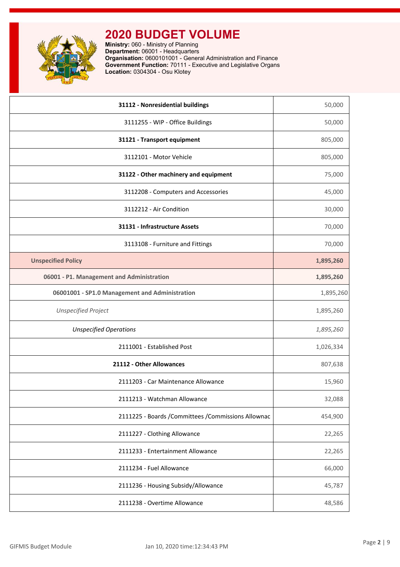

**Ministry:** 060 - Ministry of Planning **Department:** 06001 - Headquarters **Organisation:** 0600101001 - General Administration and Finance **Government Function:** 70111 - Executive and Legislative Organs **Location:** 0304304 - Osu Klotey

| 31112 - Nonresidential buildings                     | 50,000    |
|------------------------------------------------------|-----------|
| 3111255 - WIP - Office Buildings                     | 50,000    |
| 31121 - Transport equipment                          | 805,000   |
| 3112101 - Motor Vehicle                              | 805,000   |
| 31122 - Other machinery and equipment                | 75,000    |
| 3112208 - Computers and Accessories                  | 45,000    |
| 3112212 - Air Condition                              | 30,000    |
| 31131 - Infrastructure Assets                        | 70,000    |
| 3113108 - Furniture and Fittings                     | 70,000    |
| <b>Unspecified Policy</b>                            | 1,895,260 |
| 06001 - P1. Management and Administration            | 1,895,260 |
| 06001001 - SP1.0 Management and Administration       | 1,895,260 |
| <b>Unspecified Project</b>                           | 1,895,260 |
| <b>Unspecified Operations</b>                        | 1,895,260 |
| 2111001 - Established Post                           | 1,026,334 |
| 21112 - Other Allowances                             | 807,638   |
| 2111203 - Car Maintenance Allowance                  | 15,960    |
| 2111213 - Watchman Allowance                         | 32,088    |
| 2111225 - Boards / Committees / Commissions Allownac | 454,900   |
| 2111227 - Clothing Allowance                         | 22,265    |
| 2111233 - Entertainment Allowance                    | 22,265    |
| 2111234 - Fuel Allowance                             | 66,000    |
| 2111236 - Housing Subsidy/Allowance                  | 45,787    |
| 2111238 - Overtime Allowance                         | 48,586    |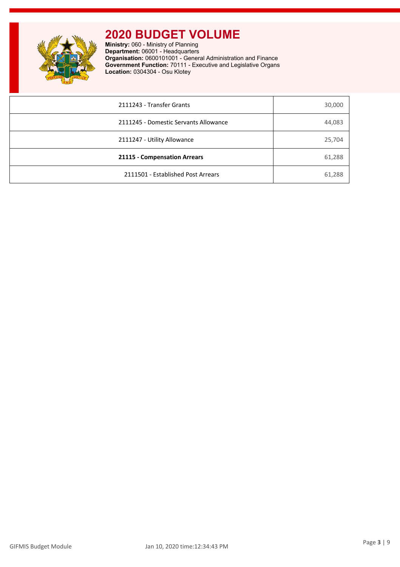

**Ministry:** 060 - Ministry of Planning **Department:** 06001 - Headquarters **Organisation:** 0600101001 - General Administration and Finance **Government Function:** 70111 - Executive and Legislative Organs **Location:** 0304304 - Osu Klotey

| 2111243 - Transfer Grants             | 30,000 |
|---------------------------------------|--------|
| 2111245 - Domestic Servants Allowance | 44,083 |
| 2111247 - Utility Allowance           | 25,704 |
| 21115 - Compensation Arrears          | 61,288 |
| 2111501 - Established Post Arrears    | 61,288 |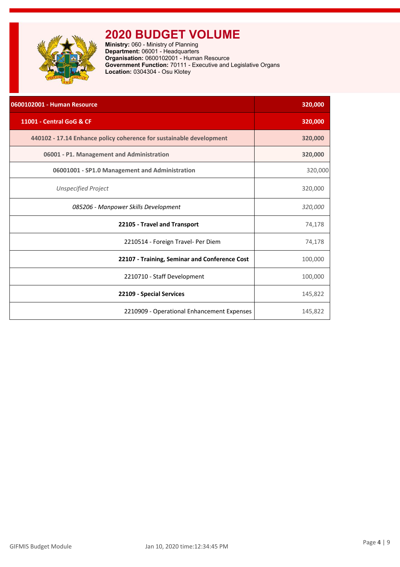<span id="page-4-0"></span>

**Ministry:** 060 - Ministry of Planning **Department:** 06001 - Headquarters **Organisation:** 0600102001 - Human Resource **Government Function:** 70111 - Executive and Legislative Organs **Location:** 0304304 - Osu Klotey

| 0600102001 - Human Resource                                         | 320,000 |
|---------------------------------------------------------------------|---------|
| 11001 - Central GoG & CF                                            | 320,000 |
| 440102 - 17.14 Enhance policy coherence for sustainable development | 320,000 |
| 06001 - P1. Management and Administration                           | 320,000 |
| 06001001 - SP1.0 Management and Administration                      | 320,000 |
| <b>Unspecified Project</b>                                          | 320,000 |
| 085206 - Manpower Skills Development                                | 320,000 |
| 22105 - Travel and Transport                                        | 74,178  |
| 2210514 - Foreign Travel- Per Diem                                  | 74,178  |
| 22107 - Training, Seminar and Conference Cost                       | 100,000 |
| 2210710 - Staff Development                                         | 100,000 |
| 22109 - Special Services                                            | 145,822 |
| 2210909 - Operational Enhancement Expenses                          | 145,822 |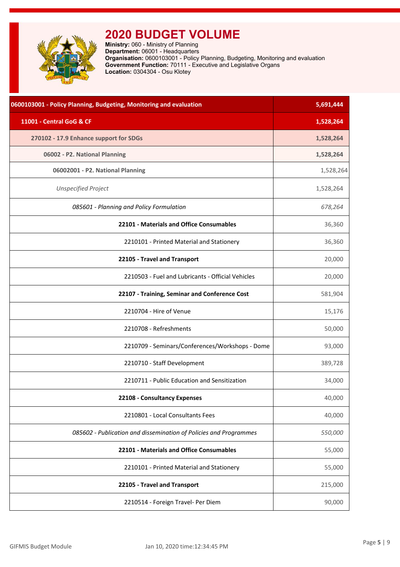<span id="page-5-0"></span>

| 0600103001 - Policy Planning, Budgeting, Monitoring and evaluation | 5,691,444 |
|--------------------------------------------------------------------|-----------|
| 11001 - Central GoG & CF                                           | 1,528,264 |
| 270102 - 17.9 Enhance support for SDGs                             | 1,528,264 |
| 06002 - P2. National Planning                                      | 1,528,264 |
| 06002001 - P2. National Planning                                   | 1,528,264 |
| <b>Unspecified Project</b>                                         | 1,528,264 |
| 085601 - Planning and Policy Formulation                           | 678,264   |
| 22101 - Materials and Office Consumables                           | 36,360    |
| 2210101 - Printed Material and Stationery                          | 36,360    |
| 22105 - Travel and Transport                                       | 20,000    |
| 2210503 - Fuel and Lubricants - Official Vehicles                  | 20,000    |
| 22107 - Training, Seminar and Conference Cost                      | 581,904   |
| 2210704 - Hire of Venue                                            | 15,176    |
| 2210708 - Refreshments                                             | 50,000    |
| 2210709 - Seminars/Conferences/Workshops - Dome                    | 93,000    |
| 2210710 - Staff Development                                        | 389,728   |
| 2210711 - Public Education and Sensitization                       | 34,000    |
| 22108 - Consultancy Expenses                                       | 40,000    |
| 2210801 - Local Consultants Fees                                   | 40,000    |
| 085602 - Publication and dissemination of Policies and Programmes  | 550,000   |
| 22101 - Materials and Office Consumables                           | 55,000    |
| 2210101 - Printed Material and Stationery                          | 55,000    |
| 22105 - Travel and Transport                                       | 215,000   |
| 2210514 - Foreign Travel- Per Diem                                 | 90,000    |
|                                                                    |           |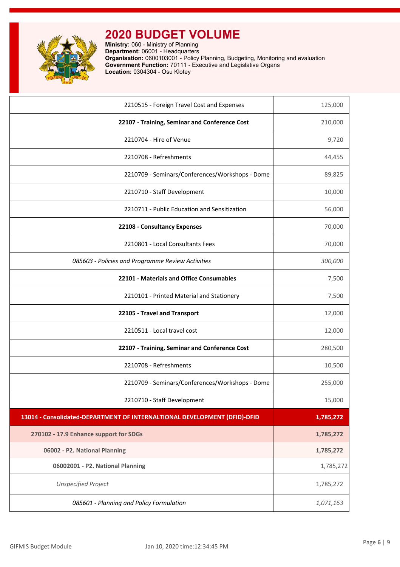

| 2210515 - Foreign Travel Cost and Expenses                                | 125,000   |
|---------------------------------------------------------------------------|-----------|
| 22107 - Training, Seminar and Conference Cost                             | 210,000   |
| 2210704 - Hire of Venue                                                   | 9,720     |
| 2210708 - Refreshments                                                    | 44,455    |
| 2210709 - Seminars/Conferences/Workshops - Dome                           | 89,825    |
| 2210710 - Staff Development                                               | 10,000    |
| 2210711 - Public Education and Sensitization                              | 56,000    |
| 22108 - Consultancy Expenses                                              | 70,000    |
| 2210801 - Local Consultants Fees                                          | 70,000    |
| 085603 - Policies and Programme Review Activities                         | 300,000   |
| 22101 - Materials and Office Consumables                                  | 7,500     |
| 2210101 - Printed Material and Stationery                                 | 7,500     |
| 22105 - Travel and Transport                                              | 12,000    |
| 2210511 - Local travel cost                                               | 12,000    |
| 22107 - Training, Seminar and Conference Cost                             | 280,500   |
| 2210708 - Refreshments                                                    | 10,500    |
| 2210709 - Seminars/Conferences/Workshops - Dome                           | 255,000   |
| 2210710 - Staff Development                                               | 15,000    |
| 13014 - Consolidated-DEPARTMENT OF INTERNALTIONAL DEVELOPMENT (DFID)-DFID | 1,785,272 |
| 270102 - 17.9 Enhance support for SDGs                                    | 1,785,272 |
| 06002 - P2. National Planning                                             | 1,785,272 |
| 06002001 - P2. National Planning                                          | 1,785,272 |
| <b>Unspecified Project</b>                                                | 1,785,272 |
| 085601 - Planning and Policy Formulation                                  | 1,071,163 |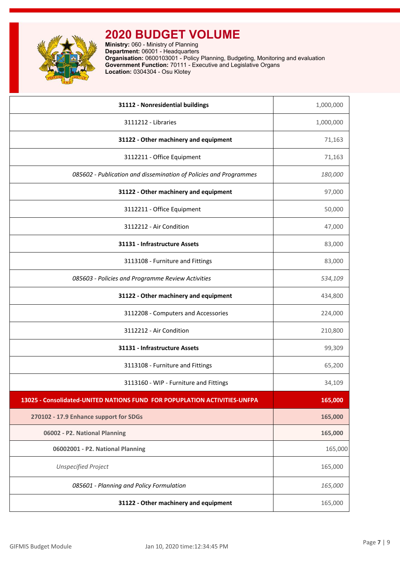

| 31112 - Nonresidential buildings                                          | 1,000,000 |
|---------------------------------------------------------------------------|-----------|
| 3111212 - Libraries                                                       | 1,000,000 |
| 31122 - Other machinery and equipment                                     | 71,163    |
| 3112211 - Office Equipment                                                | 71,163    |
| 085602 - Publication and dissemination of Policies and Programmes         | 180,000   |
| 31122 - Other machinery and equipment                                     | 97,000    |
| 3112211 - Office Equipment                                                | 50,000    |
| 3112212 - Air Condition                                                   | 47,000    |
| 31131 - Infrastructure Assets                                             | 83,000    |
| 3113108 - Furniture and Fittings                                          | 83,000    |
| 085603 - Policies and Programme Review Activities                         | 534,109   |
| 31122 - Other machinery and equipment                                     | 434,800   |
| 3112208 - Computers and Accessories                                       | 224,000   |
| 3112212 - Air Condition                                                   | 210,800   |
| 31131 - Infrastructure Assets                                             | 99,309    |
| 3113108 - Furniture and Fittings                                          | 65,200    |
| 3113160 - WIP - Furniture and Fittings                                    | 34,109    |
| 13025 - Consolidated-UNITED NATIONS FUND FOR POPUPLATION ACTIVITIES-UNFPA | 165,000   |
| 270102 - 17.9 Enhance support for SDGs                                    | 165,000   |
| 06002 - P2. National Planning                                             | 165,000   |
| 06002001 - P2. National Planning                                          | 165,000   |
| <b>Unspecified Project</b>                                                | 165,000   |
| 085601 - Planning and Policy Formulation                                  | 165,000   |
| 31122 - Other machinery and equipment                                     | 165,000   |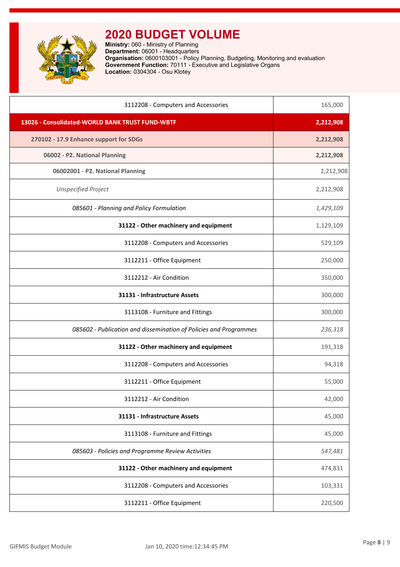

| 3112208 - Computers and Accessories                               | 165,000   |
|-------------------------------------------------------------------|-----------|
| 13026 - Consolidated-WORLD BANK TRUST FUND-WBTF                   | 2,212,908 |
| 270102 - 17.9 Enhance support for SDGs                            | 2,212,908 |
| 06002 - P2. National Planning                                     | 2,212,908 |
| 06002001 - P2. National Planning                                  | 2,212,908 |
| <b>Unspecified Project</b>                                        | 2,212,908 |
| 085601 - Planning and Policy Formulation                          | 1,429,109 |
| 31122 - Other machinery and equipment                             | 1,129,109 |
| 3112208 - Computers and Accessories                               | 529,109   |
| 3112211 - Office Equipment                                        | 250,000   |
| 3112212 - Air Condition                                           | 350,000   |
| 31131 - Infrastructure Assets                                     | 300,000   |
| 3113108 - Furniture and Fittings                                  | 300,000   |
| 085602 - Publication and dissemination of Policies and Programmes | 236,318   |
| 31122 - Other machinery and equipment                             | 191,318   |
| 3112208 - Computers and Accessories                               | 94,318    |
| 3112211 - Office Equipment                                        | 55,000    |
| 3112212 - Air Condition                                           | 42,000    |
| 31131 - Infrastructure Assets                                     | 45,000    |
| 3113108 - Furniture and Fittings                                  | 45,000    |
| 085603 - Policies and Programme Review Activities                 | 547,481   |
| 31122 - Other machinery and equipment                             | 474,831   |
| 3112208 - Computers and Accessories                               | 103,331   |
| 3112211 - Office Equipment                                        | 220,500   |